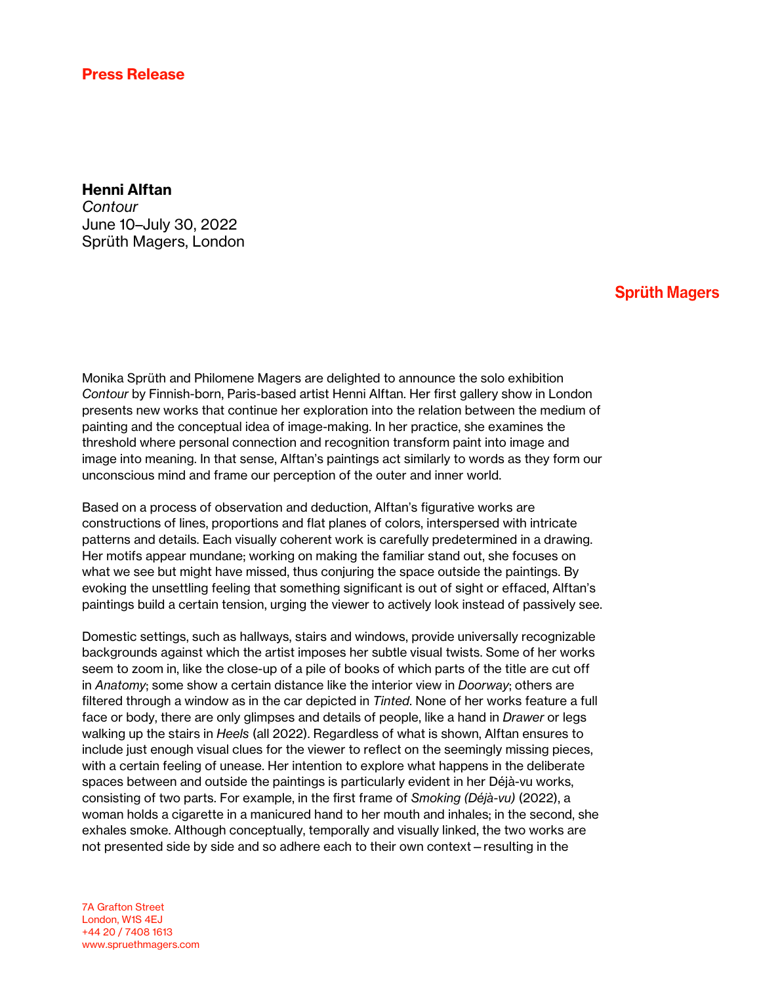## Press Release

## Henni Alftan

*Contour* June 10–July 30, 2022 Sprüth Magers, London

## **Sprüth Magers**

Monika Sprüth and Philomene Magers are delighted to announce the solo exhibition *Contour* by Finnish-born, Paris-based artist Henni Alftan. Her first gallery show in London presents new works that continue her exploration into the relation between the medium of painting and the conceptual idea of image-making. In her practice, she examines the threshold where personal connection and recognition transform paint into image and image into meaning. In that sense, Alftan's paintings act similarly to words as they form our unconscious mind and frame our perception of the outer and inner world.

Based on a process of observation and deduction, Alftan's figurative works are constructions of lines, proportions and flat planes of colors, interspersed with intricate patterns and details. Each visually coherent work is carefully predetermined in a drawing. Her motifs appear mundane; working on making the familiar stand out, she focuses on what we see but might have missed, thus conjuring the space outside the paintings. By evoking the unsettling feeling that something significant is out of sight or effaced, Alftan's paintings build a certain tension, urging the viewer to actively look instead of passively see.

Domestic settings, such as hallways, stairs and windows, provide universally recognizable backgrounds against which the artist imposes her subtle visual twists. Some of her works seem to zoom in, like the close-up of a pile of books of which parts of the title are cut off in *Anatomy*; some show a certain distance like the interior view in *Doorway*; others are filtered through a window as in the car depicted in *Tinted*. None of her works feature a full face or body, there are only glimpses and details of people, like a hand in *Drawer* or legs walking up the stairs in *Heels* (all 2022). Regardless of what is shown, Alftan ensures to include just enough visual clues for the viewer to reflect on the seemingly missing pieces, with a certain feeling of unease. Her intention to explore what happens in the deliberate spaces between and outside the paintings is particularly evident in her Déjà-vu works, consisting of two parts. For example, in the first frame of *Smoking (Déjà-vu)* (2022), a woman holds a cigarette in a manicured hand to her mouth and inhales; in the second, she exhales smoke. Although conceptually, temporally and visually linked, the two works are not presented side by side and so adhere each to their own context—resulting in the